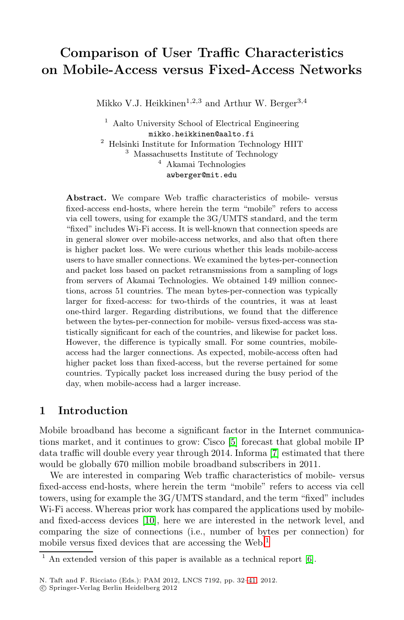# **Comparison of User Traffic Characteristics on Mobile-Access versus Fixed-Access Networks**

Mikko V.J. Heikkinen<sup>1,2,3</sup> and Arthur W. Berger<sup>3,4</sup>

<sup>1</sup> Aalto University School of Electrical Engineering mikko.heikkinen@aalto.fi <sup>2</sup> Helsinki Institute for Information Technology HIIT <sup>3</sup> Massachusetts Institute of Technology <sup>4</sup> Akamai Technologies awberger@mit.edu

**Abstract.** We compare Web traffic characteristics of mobile- versus fixed-access end-hosts, where herein the term "mobile" refers to access via cell towers, using for example the 3G/UMTS standard, and the term "fixed" includes Wi-Fi access. It is well-known that connection speeds are in general slower over mobile-access networks, and also that often there is higher packet loss. We were curious whether this leads mobile-access users to have smaller connections. We examined the bytes-per-connection and packet loss based on packet retransmissions from a sampling of logs from servers of Akamai Technologies. We obtained 149 million connections, across 51 countries. The mean bytes-per-connection was typically larger for fixed-access: for two-thirds of the countries, it was at least one-third larger. Regarding distributions, we found that the difference between the bytes-per-connection for mobile- versus fixed-access was statistically significant for each of the countries, and likewise for packet loss. However, the difference is typically small. For some countries, mobileaccess had the larger c[on](#page-9-0)nections. As expected, mobile-access often had higher packet loss than fixed-acce[ss](#page-9-1), but the reverse pertained for some countries. Typically packet loss increased during the busy period of the day, when mobile-access had a larger increase.

### <span id="page-0-0"></span>**1 Introduction**

Mobil[e br](#page-9-2)oadband has become a significant factor in the Internet communications market, and it continues to grow: Cisco [5] forecast that global mobile IP data traffic will double every year th[ro](#page-0-0)ugh 2014. Informa [7] estimated that there would be globally 670 million mobile broadband subscribers in 2011.

We are interested in comparing Web traffi[c](#page-9-3) [c](#page-9-3)haracteristics of mobile- versus fixed-access end-hosts, where herein the term "mobile" refers to access via cell towers, using for example the 3[G/U](#page-9-4)MTS standard, and the term "fixed" includes Wi-Fi access. Whereas prior work has compared the applications used by mobileand fixed-access devices [10], here we are interested in the network level, and comparing the size of connections (i.e., number of bytes per connection) for mobile versus fixed devices that are accessing the Web.<sup>1</sup>

 $1$  An extended version of this paper is available as a technical report [6].

N. Taft and F. Ricciato (Eds.): PAM 2012, LNCS 7192, pp. 32–41, 2012.

<sup>-</sup>c Springer-Verlag Berlin Heidelberg 2012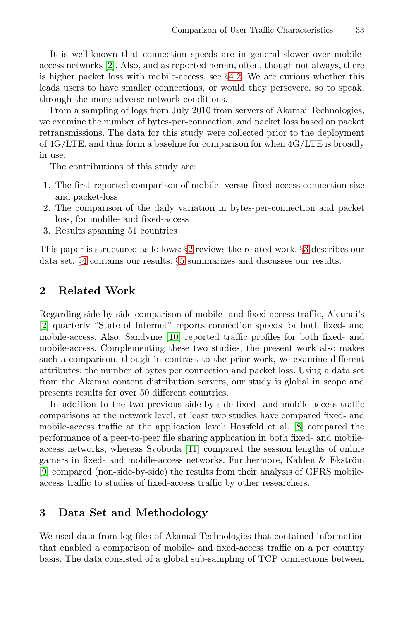It is well-known that connection speeds are in general slower over mobileaccess networks [2]. Also, and as reported herein, often, though not always, there is higher packet loss with mobile-access, see §4.2. We are curious whether this leads users to have smaller connections, or would they persevere, so to speak, through the more adverse network conditions.

<span id="page-1-0"></span>From a sampling of logs from July 2010 from servers of Akamai Technologies, we examine the number of bytes-per-connection, and packet loss based on packet retransmissions. The data for this study were collected prior to the deployment of 4G/LTE, and thus form a baseline for comparison for when 4G/LTE is broadly in use.

The contrib[uti](#page-8-0)[on](#page-1-0)s of this study are:

- 1. The first reported comparison of mobile- versus fixed-access connection-size and packet-loss
- 2. The comparison of the daily variation in bytes-per-connection and packet loss, for mobile- and fixed-access
- 3. Results spanning 51 countries

This paper i[s st](#page-9-2)ructured as follows: §2 reviews the related work. §3 describes our data set. §4 contains our results. §5 summarizes and discusses our results.

# **2 Related Work**

Regarding side-by-side comparison of mobile- and fixed-access traffic, Akamai's [2] quarterly "State of Internet" reports connection speeds for both fixed- and mobile-access. Also, Sandvine [10] reporte[d t](#page-9-5)raffic profiles for both fixed- and mobile-access. Complementing these two studies, the present work also makes such a comparis[on,](#page-9-6) though in contrast to the prior work, we examine different attributes: the number of bytes per connection and packet loss. Using a data set from the Akamai content distribution servers, our study is global in scope and presents results for over 50 different countries.

In addition to the two previous side-by-side fixed- and mobile-access traffic comparisons at the network level, at least two studies have compared fixed- and mobile-access traffic at the application level: Hossfeld et al. [8] compared the performance of a peer-to-peer file sharing application in both fixed- and mobileaccess networks, whereas Svoboda [11] compared the session lengths of online gamers in fixed- and mobile-access networks. Furthermore, Kalden  $\&$  Ekström [9] compared (non-side-by-side) the results from their analysis of GPRS mobileaccess traffic to studies of fixed-access traffic by other researchers.

# **3 Data Set and Methodology**

We used data from log files of Akamai Technologies that contained information that enabled a comparison of mobile- and fixed-access traffic on a per country basis. The data consisted of a global sub-sampling of TCP connections between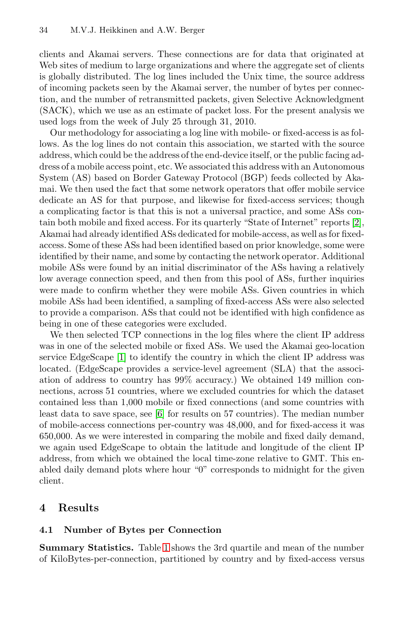#### 34 M.V.J. Heikkinen and A.W. Berger

clients and Akamai servers. These connections are for data that originated at Web sites of medium to large organizations and where the aggregate set of clients is globally distributed. The log lines included the Unix time, the source address of incoming packets seen by the Akamai server, the number of bytes per connection, and the number of retransmitted packets, given Selective Acknowledgment (SACK), which we use as an estimate of packet loss. For the present analysis we used logs from the week of July 25 through 31, 2010.

Our methodology for associating a log line with mobile- [or](#page-9-7) fixed-access is as follows. As the log lines do not contain this association, we started with the source address, which could be the address of the end-device itself, or the public facing address of a mobile access point, etc. We associated this address with an Autonomous System (AS) based on Border Gateway Protocol (BGP) feeds collected by Akamai. We then used the fact that some network operators that offer mobile service dedicate an AS for that purpose, and likewise for fixed-access services; though a complicating factor is that this is not a universal practice, and some ASs contain both mobile and fixed access. For its quarterly "State of Internet" reports [2], Akamai had already identified ASs dedicated for mobile-access, as well as for fixedaccess. Some of these ASs had been identified based on prior knowledge, some were identified by their name, and some by contacting the network operator. Additional [mo](#page-9-8)bile ASs were found by an initial discriminator of the ASs having a relatively low average connection speed, and then from this pool of ASs, further inquiries were made to confirm whether they were mobile ASs. Given countries in which mobile ASs had been identified, a sampling of fixed-access ASs were also selected to provide a comparison. ASs that could not be identified with high confidence as being in o[ne](#page-9-3) of these categories were excluded.

We then selected TCP connections in the log files where the client IP address was in one of the selected mobile or fixed ASs. We used the Akamai geo-location service EdgeScape [1] to identify the country in which the client IP address was located. (EdgeScape provides a service-level agreement (SLA) that the association of address to country has 99% accuracy.) We obtained 149 million connections, across 51 countries, where we excluded countries for which the dataset contained less than 1,000 mobile or fixed connections (and some countries with least data to save space, see [6] for results on 57 countries). The median number of mobile-access connections per-country was 48,000, and for fixed-access it was 650,000. As we were interested in comparing the mobile and fixed daily demand, we again used EdgeScape to obtain the latitude and longitude of the client IP address, fr[om](#page-7-0) which we obtained the local time-zone relative to GMT. This enabled daily demand plots where hour "0" corresponds to midnight for the given client.

# **4 Results**

#### **4.1 Number of Bytes per Connection**

**Summary Statistics.** Table 1 shows the 3rd quartile and mean of the number of KiloBytes-per-connection, partitioned by country and by fixed-access versus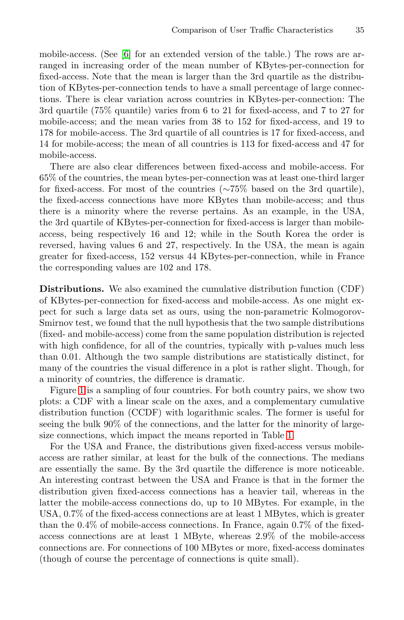mobile-access. (See [6] for an extended version of the table.) The rows are arranged in increasing order of the mean number of KBytes-per-connection for fixed-access. Note that the mean is larger than the 3rd quartile as the distribution of KBytes-per-connection tends to have a small percentage of large connections. There is clear variation across countries in KBytes-per-connection: The 3rd quartile (75% quantile) varies from 6 to 21 for fixed-access, and 7 to 27 for mobile-access; and the mean varies from 38 to 152 for fixed-access, and 19 to 178 for mobile-access. The 3rd quartile of all countries is 17 for fixed-access, and 14 for mobile-access; the mean of all countries is 113 for fixed-access and 47 for mobile-access.

There are also clear differences between fixed-access and mobile-access. For 65% of the countries, the mean bytes-per-connection was at least one-third larger for fixed-access. For most of the countries (∼75% based on the 3rd quartile), the fixed-access connections have more KBytes than mobile-access; and thus there is a minority where the reverse pertains. As an example, in the USA, the 3rd quartile of KBytes-per-connection for fixed-access is larger than mobileaccess, being respectively 16 and 12; while in the South Korea the order is reversed, having values 6 and 27, respectively. In the USA, the mean is again greater for fixed-access, 152 versus 44 KBytes-per-connection, while in France the corresponding values are 102 and 178.

**Distributions.** We also examined the cumulative distribution function (CDF) of KBytes-per-connection for fixed-access and mobile-access. As one might expect for such a large data set as ours, using the non-parametric Kolmogorov-Smirnov test, we found that the null hypothesis that the two sample distributions (fixed- and mobile-access) come from the same population distribution is rejected with high confidence, for all of the count[rie](#page-7-0)s, typically with p-values much less than 0.01. Although the two sample distributions are statistically distinct, for many of the countries the visual difference in a plot is rather slight. Though, for a minority of countries, the difference is dramatic.

Figure 1 is a sampling of four countries. For both country pairs, we show two plots: a CDF with a linear scale on the axes, and a complementary cumulative distribution function (CCDF) with logarithmic scales. The former is useful for seeing the bulk 90% of the connections, and the latter for the minority of largesize connections, which impact the means reported in Table 1.

For the USA and France, the distributions given fixed-access versus mobileaccess are rather similar, at least for the bulk of the connections. The medians are essentially the same. By the 3rd quartile the difference is more noticeable. An interesting contrast between the USA and France is that in the former the distribution given fixed-access connections has a heavier tail, whereas in the latter the mobile-access connections do, up to 10 MBytes. For example, in the USA, 0.7% of the fixed-access connections are at least 1 MBytes, which is greater than the 0.4% of mobile-access connections. In France, again 0.7% of the fixedaccess connections are at least 1 MByte, whereas 2.9% of the mobile-access connections are. For connections of 100 MBytes or more, fixed-access dominates (though of course the percentage of connections is quite small).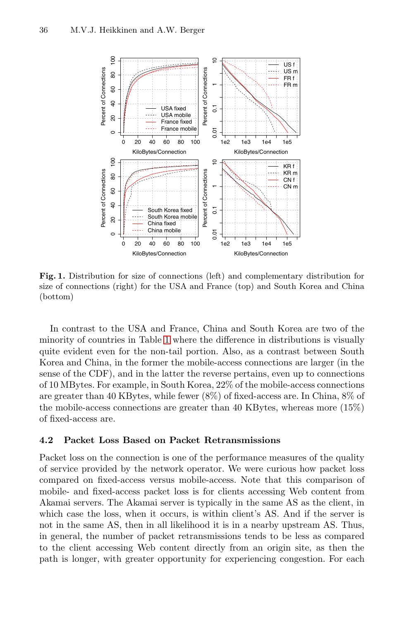#### 36 M.V.J. Heikkinen and A.W. Berger



**Fig. 1.** Distribution for size of connections (left) and complementary distribution for size of connections (right) for the USA and France (top) and South Korea and China (bottom)

In contrast to the USA and France, China and South Korea are two of the minority of countries in Table 1 where the difference in distributions is visually quite evident even for the non-tail portion. Also, as a contrast between South Korea and China, in the former the mobile-access connections are larger (in the sense of the CDF), and in the latter the reverse pertains, even up to connections of 10 MBytes. For example, in South Korea, 22% of the mobile-access connections are greater than 40 KBytes, while fewer (8%) of fixed-access are. In China, 8% of the mobile-access connections are greater than 40 KBytes, whereas more (15%) of fixed-access are.

### **4.2 Packet Loss Based on Packet Retransmissions**

Packet loss on the connection is one of the performance measures of the quality of service provided by the network operator. We were curious how packet loss compared on fixed-access versus mobile-access. Note that this comparison of mobile- and fixed-access packet loss is for clients accessing Web content from Akamai servers. The Akamai server is typically in the same AS as the client, in which case the loss, when it occurs, is within client's AS. And if the server is not in the same AS, then in all likelihood it is in a nearby upstream AS. Thus, in general, the number of packet retransmissions tends to be less as compared to the client accessing Web content directly from an origin site, as then the path is longer, with greater opportunity for experiencing congestion. For each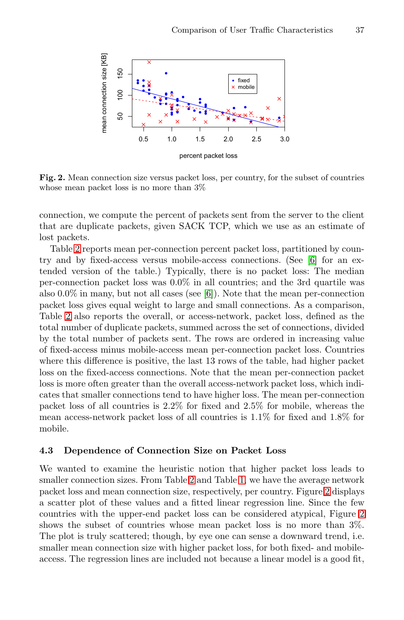<span id="page-5-0"></span>

**Fig. 2.** Mean connection size versus packet loss, pe[r](#page-9-3) [c](#page-9-3)ountry, for the subset of countries whose mean packet loss is no more than 3%

connection, we comp[ute](#page-9-3) the percent of packets sent from the server to the client that are duplicate packets, given SACK TCP, which we use as an estimate of lost packets.

Table 2 reports mean per-connection percent packet loss, partitioned by country and by fixed-access versus mobile-access connections. (See [6] for an extended version of the table.) Typically, there is no packet loss: The median per-connection packet loss was 0.0% in all countries; and the 3rd quartile was also  $0.0\%$  in many, but not all cases (see [6]). Note that the mean per-connection packet loss gives equal weight to large and small connections. As a comparison, Table 2 also reports the overall, or access-network, packet loss, defined as the total number of duplicate packets, summed across the set of connections, divided by the total number of packets sent. The rows are ordered in increasing value of fixed-access minus mobile-access mean per-connection packet loss. Countries where this difference is positive, the last 13 rows of the table, had higher packet loss on the fixed-access connections. Note that the mean per-connection packet loss is more often greater than the overall access-network packet loss, which indicates that smaller [co](#page-7-1)nnections [te](#page-7-0)nd to have higher loss. The mean per-connection packet loss of all countries is 2.2% for fixed and [2.5](#page-5-0)% for mobile, whereas the mean access-network packet loss of all countries is 1.1% for fixed and 1.8% for mobile.

#### **4.3 Dependence of Connection Size on Packet Loss**

We wanted to examine the heuristic notion that higher packet loss leads to smaller connection sizes. From Table 2 and Table 1, we have the average network packet loss and mean connection size, respectively, per country. Figure 2 displays a scatter plot of these values and a fitted linear regression line. Since the few countries with the upper-end packet loss can be considered atypical, Figure 2 shows the subset of countries whose mean packet loss is no more than 3%. The plot is truly scattered; though, by eye one can sense a downward trend, i.e. smaller mean connection size with higher packet loss, for both fixed- and mobileaccess. The regression lines are included not because a linear model is a good fit,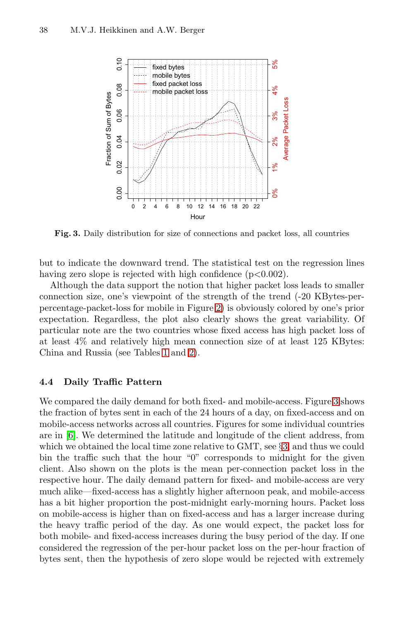#### 38 M.V.J. Heikkinen and A.W. Berger

<span id="page-6-0"></span>

**Fig. 3.** Daily distribution for size of connections and packet loss, all countries

but to indi[ca](#page-7-0)te t[he](#page-7-1) downward trend. The statistical test on the regression lines having zero slope is rejected with high confidence (p*<*0.002).

Although the data support the notion that higher packet loss leads to smaller connection size, one's viewpoint of the strength of the trend (-20 KBytes-perpercentage-packet-loss for mobile in Figure 2) is obviously colored by one's prior expectation. Regardless, the plot also clearly show[s](#page-6-0) the great variability. Of particular note are the two countries whose fixed access has high packet loss of at least 4% and relatively high mean connection size of at least 125 KBytes: China and Russia (see Tables 1 and 2).

#### **4.4 Daily Traffic Pattern**

We compared the daily demand for both fixed- and mobile-access. Figure 3 shows the fraction of bytes sent in each of the 24 hours of a day, on fixed-access and on mobile-access networks across all countries. Figures for some individual countries are in [6]. We determined the latitude and longitude of the client address, from which we obtained the local time zone relative to GMT, see §3, and thus we could bin the traffic such that the hour "0" corresponds to midnight for the given client. Also shown on the plots is the mean per-connection packet loss in the respective hour. The daily demand pattern for fixed- and mobile-access are very much alike—fixed-access has a slightly higher afternoon peak, and mobile-access has a bit higher proportion the post-midnight early-morning hours. Packet loss on mobile-access is higher than on fixed-access and has a larger increase during the heavy traffic period of the day. As one would expect, the packet loss for both mobile- and fixed-access increases during the busy period of the day. If one considered the regression of the per-hour packet loss on the per-hour fraction of bytes sent, then the hypothesis of zero slope would be rejected with extremely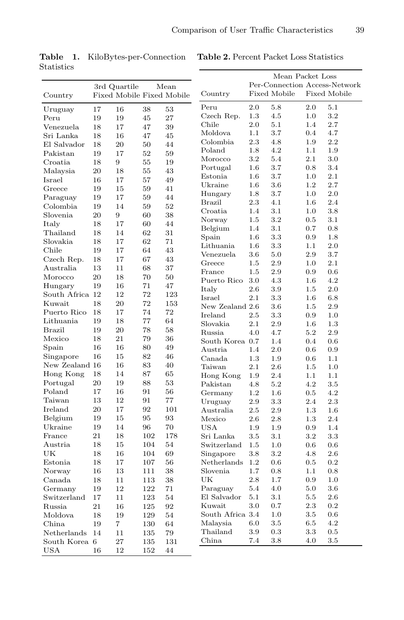|                 |              |                |     |                           |                  | Mean Packet Loss |                     |                               |                     |
|-----------------|--------------|----------------|-----|---------------------------|------------------|------------------|---------------------|-------------------------------|---------------------|
|                 | 3rd Quartile |                |     | Mean                      |                  |                  |                     | Per-Connection Access-Network |                     |
| Country         |              |                |     | Fixed Mobile Fixed Mobile | Country          |                  | <b>Fixed Mobile</b> |                               | <b>Fixed Mobile</b> |
|                 |              |                |     |                           | Peru             | 2.0              | 5.8                 | 2.0                           | 5.1                 |
| Uruguay         | 17           | 16             | 38  | 53                        | Czech Rep.       | 1.3              | 4.5                 | 1.0                           | 3.2                 |
| Peru            | 19           | 19             | 45  | 27                        | Chile            | 2.0              | 5.1                 |                               | 2.7                 |
| Venezuela       | 18           | 17             | 47  | 39                        |                  |                  |                     | 1.4                           |                     |
| Sri Lanka       | 18           | 16             | 47  | 45                        | Moldova          | 1.1              | 3.7                 | 0.4                           | 4.7                 |
| El Salvador     | 18           | 20             | 50  | 44                        | Colombia         | 2.3              | 4.8                 | 1.9                           | 2.2                 |
| Pakistan        | 19           | 17             | 52  | 59                        | Poland           | 1.8              | 4.2                 | 1.1                           | 1.9                 |
| Croatia         | 18           | 9              | 55  | 19                        | Morocco          | 3.2              | 5.4                 | 2.1                           | 3.0                 |
| Malaysia        | 20           | 18             | 55  | 43                        | Portugal         | 1.6              | 3.7                 | 0.8                           | 3.4                 |
| Israel          | 16           | 17             | 57  | 49                        | Estonia          | $1.6\,$          | 3.7                 | $1.0\,$                       | 2.1                 |
| Greece          | 19           | 15             | 59  | 41                        | Ukraine          | $1.6\,$          | 3.6                 | 1.2                           | 2.7                 |
| Paraguay        | 19           | 17             | 59  | 44                        | Hungary          | 1.8              | 3.7                 | 1.0                           | 2.0                 |
| Colombia        | 19           | 14             | 59  | 52                        | <b>Brazil</b>    | 2.3              | 4.1                 | 1.6                           | 2.4                 |
| Slovenia        | 20           | 9              | 60  | 38                        | Croatia          | 1.4              | 3.1                 | 1.0                           | 3.8                 |
| Italy           | 18           | 17             | 60  | 44                        | Norway           | 1.5              | 3.2                 | 0.5                           | 3.1                 |
| Thailand        | 18           | 14             | 62  | 31                        | Belgium          | 1.4              | 3.1                 | 0.7                           | 0.8                 |
| Slovakia        | 18           | 17             | 62  | 71                        | Spain            | 1.6              | 3.3                 | 0.9                           | 1.8                 |
|                 |              |                |     |                           | Lithuania        | 1.6              | 3.3                 | 1.1                           | 2.0                 |
| Chile           | 19           | 17             | 64  | 43                        | Venezuela        | 3.6              | 5.0                 | 2.9                           | 3.7                 |
| Czech Rep.      | 18           | 17             | 67  | 43                        | Greece           | 1.5              | 2.9                 | 1.0                           | 2.1                 |
| Australia       | 13           | 11             | 68  | 37                        | France           | 1.5              | 2.9                 | 0.9                           | 0.6                 |
| Morocco         | 20           | 18             | 70  | 50                        | Puerto Rico      | 3.0              | 4.3                 | 1.6                           | 4.2                 |
| Hungary         | 19           | 16             | 71  | 47                        | Italy            | 2.6              | 3.9                 | 1.5                           | 2.0                 |
| South Africa 12 |              | 12             | 72  | 123                       | Israel           | 2.1              | 3.3                 | 1.6                           | 6.8                 |
| Kuwait          | 18           | 20             | 72  | 153                       | New Zealand 2.6  |                  | 3.6                 | 1.5                           | 2.9                 |
| Puerto Rico     | 18           | 17             | 74  | 72                        | Ireland          | 2.5              | 3.3                 | 0.9                           | 1.0                 |
| Lithuania       | 19           | 18             | 77  | 64                        | Slovakia         | 2.1              | 2.9                 | 1.6                           | 1.3                 |
| <b>Brazil</b>   | 19           | 20             | 78  | 58                        | Russia           | 4.0              | 4.7                 | 5.2                           | 2.9                 |
| Mexico          | 18           | 21             | 79  | 36                        | South Korea 0.7  |                  | 1.4                 | 0.4                           | 0.6                 |
| Spain           | 16           | 16             | 80  | 49                        | Austria          | 1.4              | 2.0                 | 0.6                           | 0.9                 |
| Singapore       | 16           | 15             | 82  | 46                        | Canada           | 1.3              | 1.9                 | $0.6\,$                       | 1.1                 |
| New Zealand 16  |              | 16             | 83  | 40                        | Taiwan           | $2.1\,$          | 2.6                 | 1.5                           |                     |
| Hong Kong       | 18           | 14             | 87  | 65                        |                  | 1.9              | 2.4                 | 1.1                           | 1.0<br>1.1          |
| Portugal        | 20           | 19             | 88  | 53                        | Hong Kong        |                  |                     |                               |                     |
| Poland          | 17           | 16             | 91  | 56                        | Pakistan         | 4.8              | 5.2                 | 4.2                           | 3.5                 |
| Taiwan          | 13           | 12             | 91  | 77                        | Germany          | 1.2              | 1.6                 | 0.5                           | 4.2                 |
| Ireland         | 20           | 17             | 92  | 101                       | Uruguay          | $2.9\,$          | 3.3                 | 2.4                           | 2.3                 |
|                 |              |                |     |                           | Australia        | 2.5              | 2.9                 | 1.3                           | 1.6                 |
| Belgium         | 19           | 15             | 95  | 93                        | Mexico           | 2.6              | 2.8                 | 1.3                           | 2.4                 |
| Ukraine         | 19           | 14             | 96  | 70                        | USA              | 1.9              | 1.9                 | 0.9                           | 1.4                 |
| France          | 21           | 18             | 102 | 178                       | Sri Lanka        | 3.5              | 3.1                 | 3.2                           | 3.3                 |
| Austria         | 18           | 15             | 104 | 54                        | Switzerland      | 1.5              | 1.0                 | 0.6                           | 0.6                 |
| UK              | 18           | 16             | 104 | 69                        | Singapore        | 3.8              | 3.2                 | 4.8                           | 2.6                 |
| Estonia         | 18           | 17             | 107 | 56                        | Netherlands      | 1.2              | 0.6                 | 0.5                           | 0.2                 |
| Norway          | 16           | 13             | 111 | 38                        | Slovenia         | 1.7              | 0.8                 | 1.1                           | 0.8                 |
| Canada          | 18           | 11             | 113 | 38                        | UK               | 2.8              | 1.7                 | 0.9                           | 1.0                 |
| Germany         | 19           | 12             | 122 | 71                        | Paraguay         | 5.4              | 4.0                 | 5.0                           | 3.6                 |
| Switzerland     | 17           | 11             | 123 | 54                        | El Salvador      | 5.1              | 3.1                 | 5.5                           | 2.6                 |
| Russia          | 21           | 16             | 125 | 92                        | Kuwait           | 3.0              | 0.7                 | 2.3                           | 0.2                 |
| Moldova         | 18           | 19             | 129 | 54                        | South Africa 3.4 |                  | 1.0                 | 3.5                           | 0.6                 |
| China           | 19           | $\overline{7}$ | 130 | 64                        | Malaysia         | 6.0              | 3.5                 | 6.5                           | 4.2                 |
| Netherlands     | 14           | 11             | 135 | 79                        | Thailand         | 3.9              | 0.3                 | 3.3                           | 0.5                 |
| South Korea 6   |              | 27             | 135 | 131                       | China            | 7.4              | 3.8                 | 4.0                           | 3.5                 |
| USA             | 16           | 12             | 152 | 44                        |                  |                  |                     |                               |                     |

**Table 1.** KiloBytes-per-Connection **Table 2.** Percent Packet Loss Statistics Statistics

<span id="page-7-1"></span><span id="page-7-0"></span>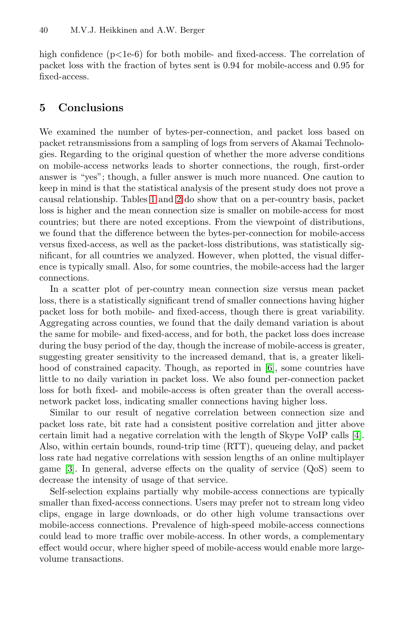<span id="page-8-0"></span>high confidence ( $p$ <1e-6) for both mobile- and fixed-access. The correlation of packet loss with the fraction of bytes sent is 0.94 for mobile-access and 0.95 for fixed-access.

## **5 C[on](#page-7-0)clu[si](#page-7-1)ons**

We examined the number of bytes-per-connection, and packet loss based on packet retransmissions from a sampling of logs from servers of Akamai Technologies. Regarding to the original question of whether the more adverse conditions on mobile-access networks leads to shorter connections, the rough, first-order answer is "yes"; though, a fuller answer is much more nuanced. One caution to keep in mind is that the statistical analysis of the present study does not prove a causal relationship. Tables 1 and 2 do show that on a per-country basis, packet loss is higher and the mean connection size is smaller on mobile-access for most countries; but there are noted exceptions. From the viewpoint of distributions, we found that the difference between the bytes-per-connection for mobile-access versus fixed-access, as well as the packet-loss distributions, was statistically significant, for all countries we analyzed. However, when plotted, the visual difference is typically small. Also, for some countries, the mobile-access had the larger connections.

In a scatter plot of per-country [m](#page-9-3)ean connection size versus mean packet loss, there is a statistically significant trend of smaller connections having higher packet loss for both mobile- and fixed-access, though there is great variability. Aggregating across counties, we found that the daily demand variation is about the same for mobile- and fixed-access, and for both, the packet loss does increase during the busy period of the day, though the increase of m[ob](#page-9-9)ile-access is greater, suggesting greater sensitivity to the increased demand, that is, a greater likelihood of constrained capacity. Though, as reported in [6], some countries have little to no daily variation in packet loss. We also found per-connection packet loss for both fixed- and mobile-access is often greater than the overall accessnetwork packet loss, indicating smaller connections having higher loss.

Similar to our result of negative correlation between connection size and packet loss rate, bit rate had a consistent positive correlation and jitter above certain limit had a negative correlation with the length of Skype VoIP calls [4]. Also, within certain bounds, round-trip time (RTT), queueing delay, and packet loss rate had negative correlations with session lengths of an online multiplayer game [3]. In general, adverse effects on the quality of service (QoS) seem to decrease the intensity of usage of that service.

Self-selection explains partially why mobile-access connections are typically smaller than fixed-access connections. Users may prefer not to stream long video clips, engage in large downloads, or do other high volume transactions over mobile-access connections. Prevalence of high-speed mobile-access connections could lead to more traffic over mobile-access. In other words, a complementary effect would occur, where higher speed of mobile-access would enable more largevolume transactions.